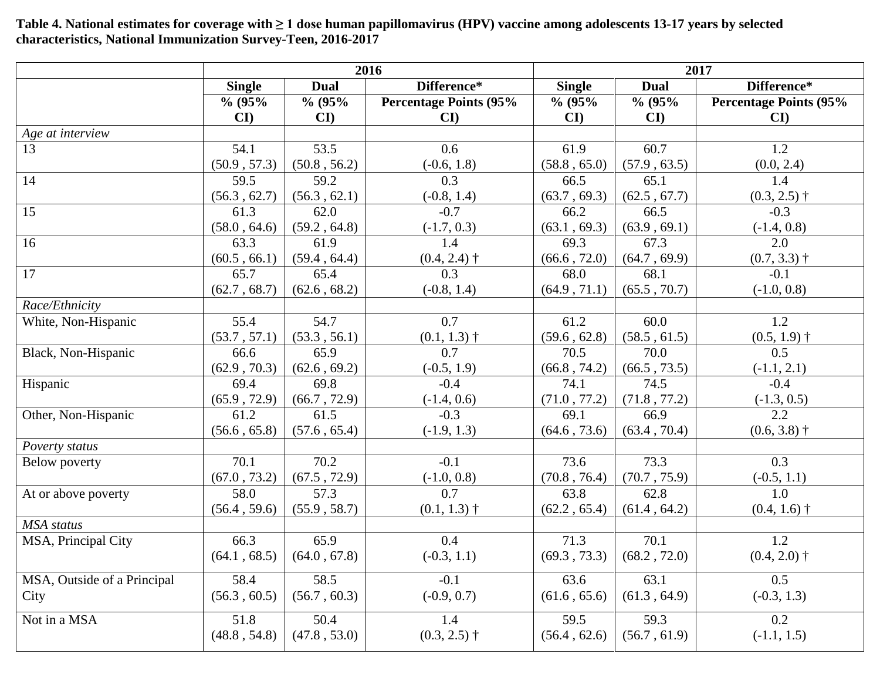**2016 2017 Single Dual Difference\* Single Dual Difference\* % (95% CI) % (95% CI) Percentage Points (95% CI) % (95% CI) % (95% CI) Percentage Points (95% CI)** *Age at interview* 13 54.1 (50.9 , 57.3) 53.5 (50.8 , 56.2) 0.6 (-0.6, 1.8) 61.9 (58.8 , 65.0) 60.7 (57.9 , 63.5) 1.2 (0.0, 2.4) 14 59.5 (56.3 , 62.7) 59.2 (56.3 , 62.1) 0.3 (-0.8, 1.4) 66.5 (63.7 , 69.3) 65.1 (62.5 , 67.7) 1.4  $(0.3, 2.5)$  † 15 61.3 (58.0 , 64.6) 62.0 (59.2 , 64.8)  $-0.7$ (-1.7, 0.3) 66.2 (63.1 , 69.3) 66.5 (63.9 , 69.1) -0.3 (-1.4, 0.8) 16 63.3  $(60.5, 66.1)$ 61.9 (59.4 , 64.4) 1.4  $(0.4, 2.4)$  † 69.3 (66.6 , 72.0) 67.3 (64.7 , 69.9) 2.0  $(0.7, 3.3)$  † 17 65.7 (62.7 , 68.7) 65.4 (62.6 , 68.2) 0.3 (-0.8, 1.4) 68.0 (64.9 , 71.1) 68.1  $(65.5, 70.7)$ -0.1 (-1.0, 0.8) *Race/Ethnicity* White, Non-Hispanic 155.4 (53.7 , 57.1) 54.7 (53.3 , 56.1) 0.7  $(0.1, 1.3)$  † 61.2 (59.6 , 62.8) 60.0 (58.5 , 61.5) 1.2  $(0.5, 1.9)$  † Black, Non-Hispanic 66.6 (62.9 , 70.3) 65.9  $(62.6, 69.2)$ 0.7 (-0.5, 1.9)  $70.\overline{5}$ (66.8 , 74.2) 70.0 (66.5 , 73.5) 0.5  $(-1.1, 2.1)$ Hispanic 69.4 (65.9 , 72.9) 69.8 (66.7 , 72.9) -0.4 (-1.4, 0.6) 74.1 (71.0 , 77.2) 74.5 (71.8 , 77.2) -0.4 (-1.3, 0.5) Other, Non-Hispanic 61.2 (56.6 , 65.8) 61.5 (57.6 , 65.4)  $-0.3$ (-1.9, 1.3) 69.1 (64.6 , 73.6) 66.9 (63.4 , 70.4)  $2.2$  $(0.6, 3.8)$  † *Poverty status* Below poverty 20.1 (67.0 , 73.2) 70.2 (67.5 , 72.9) -0.1 (-1.0, 0.8) 73.6 (70.8 , 76.4) 73.3 (70.7 , 75.9) 0.3 (-0.5, 1.1) At or above poverty 1 58.0 (56.4 , 59.6) 57.3 (55.9 , 58.7) 0.7  $(0.1, 1.3)$  † 63.8  $(62.2, 65.4)$ 62.8 (61.4 , 64.2) 1.0  $(0.4, 1.6)$  † *MSA status* MSA, Principal City 66.3 (64.1 , 68.5) 65.9 (64.0 , 67.8) 0.4  $(-0.3, 1.1)$ 71.3 (69.3 , 73.3) 70.1 (68.2 , 72.0) 1.2  $(0.4, 2.0)$  † MSA, Outside of a Principal **City** 58.4 (56.3 , 60.5) 58.5 (56.7 , 60.3) -0.1 (-0.9, 0.7) 63.6 (61.6 , 65.6) 63.1 (61.3 , 64.9)  $\overline{0.5}$ (-0.3, 1.3) Not in a MSA 51.8 (48.8 , 54.8) 50.4 (47.8 , 53.0) 1.4  $(0.3, 2.5)$  † 59.5 (56.4 , 62.6) 59.3 (56.7 , 61.9) 0.2 (-1.1, 1.5)

**Table 4. National estimates for coverage with ≥ 1 dose human papillomavirus (HPV) vaccine among adolescents 13-17 years by selected characteristics, National Immunization Survey-Teen, 2016-2017**